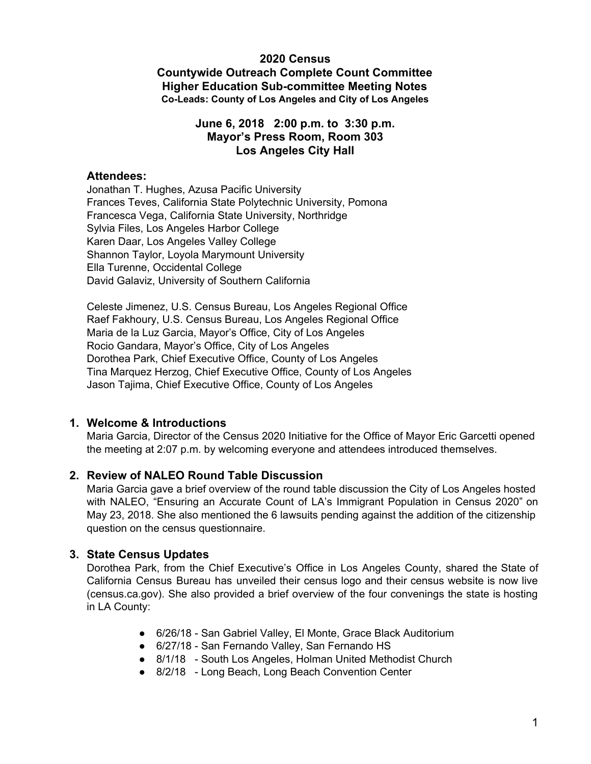#### **2020 Census**

**Countywide Outreach Complete Count Committee Higher Education Sub-committee Meeting Notes Co-Leads: County of Los Angeles and City of Los Angeles**

## **June 6, 2018 2:00 p.m. to 3:30 p.m. Mayor's Press Room, Room 303 Los Angeles City Hall**

#### **Attendees:**

Jonathan T. Hughes, Azusa Pacific University Frances Teves, California State Polytechnic University, Pomona Francesca Vega, California State University, Northridge Sylvia Files, Los Angeles Harbor College Karen Daar, Los Angeles Valley College Shannon Taylor, Loyola Marymount University Ella Turenne, Occidental College David Galaviz, University of Southern California

Celeste Jimenez, U.S. Census Bureau, Los Angeles Regional Office Raef Fakhoury, U.S. Census Bureau, Los Angeles Regional Office Maria de la Luz Garcia, Mayor's Office, City of Los Angeles Rocio Gandara, Mayor's Office, City of Los Angeles Dorothea Park, Chief Executive Office, County of Los Angeles Tina Marquez Herzog, Chief Executive Office, County of Los Angeles Jason Tajima, Chief Executive Office, County of Los Angeles

## **1. Welcome & Introductions**

Maria Garcia, Director of the Census 2020 Initiative for the Office of Mayor Eric Garcetti opened the meeting at 2:07 p.m. by welcoming everyone and attendees introduced themselves.

## **2. Review of NALEO Round Table Discussion**

Maria Garcia gave a brief overview of the round table discussion the City of Los Angeles hosted with NALEO, "Ensuring an Accurate Count of LA's Immigrant Population in Census 2020" on May 23, 2018. She also mentioned the 6 lawsuits pending against the addition of the citizenship question on the census questionnaire.

## **3. State Census Updates**

Dorothea Park, from the Chief Executive's Office in Los Angeles County, shared the State of California Census Bureau has unveiled their census logo and their census website is now live (census.ca.gov). She also provided a brief overview of the four convenings the state is hosting in LA County:

- 6/26/18 San Gabriel Valley, El Monte, Grace Black Auditorium
- 6/27/18 San Fernando Valley, San Fernando HS
- 8/1/18 South Los Angeles, Holman United Methodist Church
- 8/2/18 Long Beach, Long Beach Convention Center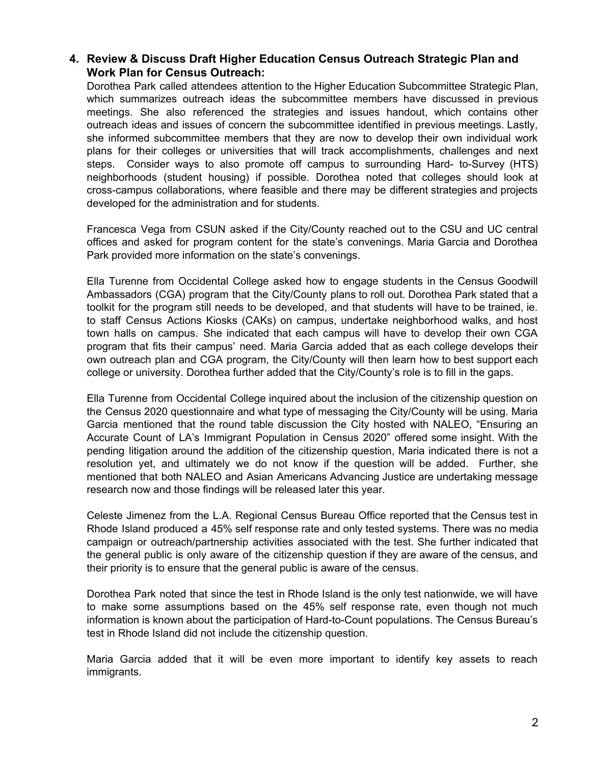# **4. Review & Discuss Draft Higher Education Census Outreach Strategic Plan and Work Plan for Census Outreach:**

Dorothea Park called attendees attention to the Higher Education Subcommittee Strategic Plan, which summarizes outreach ideas the subcommittee members have discussed in previous meetings. She also referenced the strategies and issues handout, which contains other outreach ideas and issues of concern the subcommittee identified in previous meetings. Lastly, she informed subcommittee members that they are now to develop their own individual work plans for their colleges or universities that will track accomplishments, challenges and next steps. Consider ways to also promote off campus to surrounding Hard- to-Survey (HTS) neighborhoods (student housing) if possible. Dorothea noted that colleges should look at cross-campus collaborations, where feasible and there may be different strategies and projects developed for the administration and for students.

Francesca Vega from CSUN asked if the City/County reached out to the CSU and UC central offices and asked for program content for the state's convenings. Maria Garcia and Dorothea Park provided more information on the state's convenings.

Ella Turenne from Occidental College asked how to engage students in the Census Goodwill Ambassadors (CGA) program that the City/County plans to roll out. Dorothea Park stated that a toolkit for the program still needs to be developed, and that students will have to be trained, ie. to staff Census Actions Kiosks (CAKs) on campus, undertake neighborhood walks, and host town halls on campus. She indicated that each campus will have to develop their own CGA program that fits their campus' need. Maria Garcia added that as each college develops their own outreach plan and CGA program, the City/County will then learn how to best support each college or university. Dorothea further added that the City/County's role is to fill in the gaps.

Ella Turenne from Occidental College inquired about the inclusion of the citizenship question on the Census 2020 questionnaire and what type of messaging the City/County will be using. Maria Garcia mentioned that the round table discussion the City hosted with NALEO, "Ensuring an Accurate Count of LA's Immigrant Population in Census 2020" offered some insight. With the pending litigation around the addition of the citizenship question, Maria indicated there is not a resolution yet, and ultimately we do not know if the question will be added. Further, she mentioned that both NALEO and Asian Americans Advancing Justice are undertaking message research now and those findings will be released later this year.

Celeste Jimenez from the L.A. Regional Census Bureau Office reported that the Census test in Rhode Island produced a 45% self response rate and only tested systems. There was no media campaign or outreach/partnership activities associated with the test. She further indicated that the general public is only aware of the citizenship question if they are aware of the census, and their priority is to ensure that the general public is aware of the census.

Dorothea Park noted that since the test in Rhode Island is the only test nationwide, we will have to make some assumptions based on the 45% self response rate, even though not much information is known about the participation of Hard-to-Count populations. The Census Bureau's test in Rhode Island did not include the citizenship question.

Maria Garcia added that it will be even more important to identify key assets to reach immigrants.